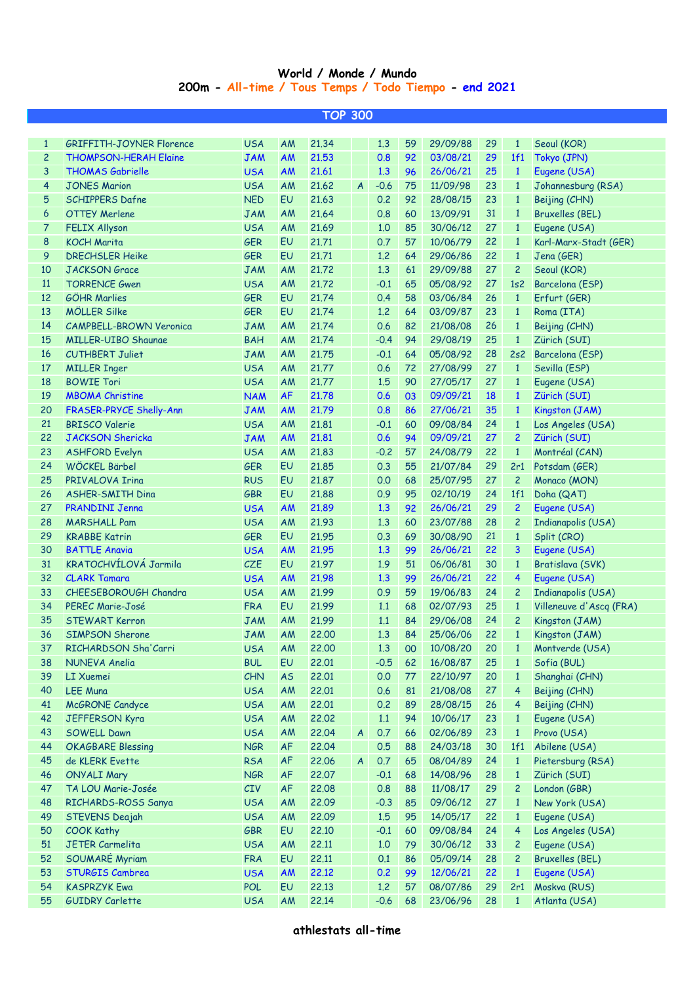## **World / Monde / Mundo 200m - All-time / Tous Temps / Todo Tiempo - end 2021**

| <b>TOP 300</b>      |                                 |            |           |       |                                            |        |    |          |                 |                 |                           |
|---------------------|---------------------------------|------------|-----------|-------|--------------------------------------------|--------|----|----------|-----------------|-----------------|---------------------------|
|                     |                                 |            |           |       |                                            |        |    |          |                 |                 |                           |
| $\mathbf{1}$        | <b>GRIFFITH-JOYNER Florence</b> | <b>USA</b> | AM        | 21.34 |                                            | 1.3    | 59 | 29/09/88 | 29              | $\mathbf{1}$    | Seoul (KOR)               |
| $\overline{c}$      | <b>THOMPSON-HERAH Elaine</b>    | <b>JAM</b> | <b>AM</b> | 21.53 |                                            | 0.8    | 92 | 03/08/21 | 29              | 1f1             | Tokyo (JPN)               |
| 3                   | <b>THOMAS Gabrielle</b>         | <b>USA</b> | <b>AM</b> | 21.61 |                                            | 1.3    | 96 | 26/06/21 | 25              | $\mathbf{1}$    | Eugene (USA)              |
| $\overline{4}$      | <b>JONES Marion</b>             | <b>USA</b> | AM        | 21.62 | $\overline{A}$                             | $-0.6$ | 75 | 11/09/98 | 23              | $\mathbf{1}$    | Johannesburg (RSA)        |
| 5                   | <b>SCHIPPERS Dafne</b>          | <b>NED</b> | EU        | 21.63 |                                            | 0.2    | 92 | 28/08/15 | 23              | $\mathbf{1}$    | Beijing (CHN)             |
| $\ddot{\mathbf{6}}$ | <b>OTTEY Merlene</b>            | <b>JAM</b> | AM        | 21.64 |                                            | 0.8    | 60 | 13/09/91 | 31              | $\mathbf{1}$    | <b>Bruxelles (BEL)</b>    |
| $\overline{7}$      | <b>FELIX Allyson</b>            | <b>USA</b> | AM        | 21.69 |                                            | 1.0    | 85 | 30/06/12 | 27              | $\mathbf{1}$    | Eugene (USA)              |
| 8                   | <b>KOCH Marita</b>              | <b>GER</b> | EU        | 21,71 |                                            | 0.7    | 57 | 10/06/79 | 22              | $\mathbf{1}$    | Karl-Marx-Stadt (GER)     |
| 9                   | <b>DRECHSLER Heike</b>          | <b>GER</b> | EU        | 21,71 |                                            | 1.2    | 64 | 29/06/86 | 22              | $\mathbf{1}$    | Jena (GER)                |
| 10                  | <b>JACKSON</b> Grace            | <b>JAM</b> | AM        | 21.72 |                                            | 1.3    | 61 | 29/09/88 | 27              | $\overline{c}$  | Seoul (KOR)               |
| <b>11</b>           | <b>TORRENCE Gwen</b>            | <b>USA</b> | AM        | 21.72 |                                            | $-0.1$ | 65 | 05/08/92 | 27              | 1s2             | Barcelona (ESP)           |
| 12                  | <b>GÖHR Marlies</b>             | <b>GER</b> | EU        | 21.74 |                                            | 0.4    | 58 | 03/06/84 | 26              | $\mathbf{1}$    | Erfurt (GER)              |
| 13                  | <b>MÖLLER Silke</b>             | <b>GER</b> | EU        | 21.74 |                                            | 1.2    | 64 | 03/09/87 | 23              | $\mathbf{1}$    | Roma (ITA)                |
| 14                  | <b>CAMPBELL-BROWN Veronica</b>  | <b>JAM</b> | AM        | 21.74 |                                            | 0.6    | 82 | 21/08/08 | 26              | $\mathbf{1}$    | Beijing (CHN)             |
| 15                  | <b>MILLER-UIBO Shaunae</b>      | <b>BAH</b> | AM        | 21.74 |                                            | $-0.4$ | 94 | 29/08/19 | 25              | $\mathbf{1}$    | Zürich (SUI)              |
| 16                  | <b>CUTHBERT Juliet</b>          | <b>JAM</b> | AM        | 21,75 |                                            | $-0.1$ | 64 | 05/08/92 | 28              | 2s2             | Barcelona (ESP)           |
| 17                  | <b>MILLER Inger</b>             | <b>USA</b> | AM        | 21,77 |                                            | 0.6    | 72 | 27/08/99 | 27              | $\mathbf{1}$    | Sevilla (ESP)             |
| 18                  | <b>BOWIE Tori</b>               | <b>USA</b> | AM        | 21,77 |                                            | 1.5    | 90 | 27/05/17 | 27              | $\mathbf{1}$    | Eugene (USA)              |
| 19                  | <b>MBOMA Christine</b>          | <b>NAM</b> | <b>AF</b> | 21,78 |                                            | 0.6    | 03 | 09/09/21 | 18              | $\mathbf{1}$    | Zürich (SUI)              |
| 20                  | FRASER-PRYCE Shelly-Ann         | <b>JAM</b> | <b>AM</b> | 21.79 |                                            | 0.8    | 86 | 27/06/21 | 35              | $\mathbf{1}$    | Kingston (JAM)            |
| 21                  | <b>BRISCO Valerie</b>           | <b>USA</b> | AM        | 21,81 |                                            | $-0.1$ | 60 | 09/08/84 | 24              | $\mathbf{1}$    | Los Angeles (USA)         |
| 22                  | <b>JACKSON Shericka</b>         | <b>JAM</b> | <b>AM</b> | 21,81 |                                            | 0.6    | 94 | 09/09/21 | 27              | $\overline{2}$  | Zürich (SUI)              |
| 23                  | <b>ASHFORD Evelyn</b>           | <b>USA</b> | AM        | 21,83 |                                            | $-0.2$ | 57 | 24/08/79 | 22              | $\mathbf{1}$    | Montréal (CAN)            |
| 24                  | WÖCKEL Bärbel                   | <b>GER</b> | EU        | 21,85 |                                            | 0.3    | 55 | 21/07/84 | 29              | 2r1             | Potsdam (GER)             |
| 25                  | PRIVALOVA Irina                 | <b>RUS</b> | EU        | 21,87 |                                            | 0.0    | 68 | 25/07/95 | 27              | $\overline{c}$  | Monaco (MON)              |
| 26                  | <b>ASHER-SMITH Dina</b>         | <b>GBR</b> | EU        | 21,88 |                                            | 0.9    | 95 | 02/10/19 | 24              | 1f1             | Doha (QAT)                |
| 27                  | <b>PRANDINI Jenna</b>           | <b>USA</b> | <b>AM</b> | 21.89 |                                            | 1.3    | 92 | 26/06/21 | 29              | $\overline{c}$  | Eugene (USA)              |
| 28                  | <b>MARSHALL Pam</b>             | <b>USA</b> | AM        | 21.93 |                                            | 1.3    | 60 | 23/07/88 | 28              | 2               | <b>Indianapolis (USA)</b> |
| 29                  | <b>KRABBE Katrin</b>            | <b>GER</b> | EU        | 21.95 |                                            | 0.3    | 69 | 30/08/90 | 21              | $\mathbf{1}$    | Split (CRO)               |
| 30                  | <b>BATTLE Anavia</b>            | <b>USA</b> | <b>AM</b> | 21.95 |                                            | 1.3    | 99 | 26/06/21 | 22              | 3               | Eugene (USA)              |
| 31                  | KRATOCHVÍLOVÁ Jarmila           | <b>CZE</b> | EU        | 21.97 |                                            | 1.9    | 51 | 06/06/81 | 30              | $\mathbf{1}$    | Bratislava (SVK)          |
| 32                  | <b>CLARK Tamara</b>             | <b>USA</b> | <b>AM</b> | 21.98 |                                            | 1.3    | 99 | 26/06/21 | 22              | $\overline{4}$  | Eugene (USA)              |
| 33                  | CHEESEBOROUGH Chandra           | <b>USA</b> | AM        | 21.99 |                                            | 0.9    | 59 | 19/06/83 | 24              | $\mathbf{2}$    | <b>Indianapolis (USA)</b> |
| 34                  | PEREC Marie-José                | <b>FRA</b> | EU        | 21.99 |                                            | 1.1    | 68 | 02/07/93 | 25              | $\mathbf{1}$    | Villeneuve d'Ascq (FRA)   |
| 35                  | <b>STEWART Kerron</b>           | <b>JAM</b> | AM        | 21.99 |                                            | 1.1    | 84 | 29/06/08 | 24              | $\overline{c}$  | Kingston (JAM)            |
| 36                  | SIMPSON Sherone                 | <b>JAM</b> | AM        | 22,00 | <b>Contract Contract Contract Contract</b> | 1.3    | 84 | 25/06/06 | 22 <sub>2</sub> | $\vert 1 \vert$ | Kingston (JAM)            |
| 37                  | RICHARDSON Sha'Carri            | <b>USA</b> | AM        | 22,00 |                                            | 1.3    | 00 | 10/08/20 | 20              | $\mathbf{1}$    | Montverde (USA)           |
| 38                  | <b>NUNEVA Anelia</b>            | <b>BUL</b> | EU        | 22.01 |                                            | $-0.5$ | 62 | 16/08/87 | 25              | $\mathbf{1}$    | Sofia (BUL)               |
| 39                  | <b>LI Xuemei</b>                | <b>CHN</b> | <b>AS</b> | 22.01 |                                            | 0.0    | 77 | 22/10/97 | 20              | $\mathbf{1}$    | Shanghai (CHN)            |
| 40                  | <b>LEE Muna</b>                 | <b>USA</b> | AM        | 22.01 |                                            | 0.6    | 81 | 21/08/08 | 27              | $\overline{4}$  | Beijing (CHN)             |
| 41                  | <b>McGRONE</b> Candyce          | <b>USA</b> | AM        | 22.01 |                                            | 0.2    | 89 | 28/08/15 | 26              | 4               | Beijing (CHN)             |
| 42                  | <b>JEFFERSON Kyra</b>           | <b>USA</b> | AM        | 22,02 |                                            | 1.1    | 94 | 10/06/17 | 23              | $\mathbf{1}$    | Eugene (USA)              |
| 43                  | <b>SOWELL Dawn</b>              | <b>USA</b> | AM        | 22.04 | $\mathsf{A}$                               | 0.7    | 66 | 02/06/89 | 23              | $\mathbf{1}$    | Provo (USA)               |
| 44                  | <b>OKAGBARE Blessing</b>        | <b>NGR</b> | <b>AF</b> | 22.04 |                                            | 0.5    | 88 | 24/03/18 | 30              | 1f1             | Abilene (USA)             |
| 45                  | de KLERK Evette                 | <b>RSA</b> | <b>AF</b> | 22.06 | $\mathsf{A}$                               | 0.7    | 65 | 08/04/89 | 24              | $\mathbf{1}$    | Pietersburg (RSA)         |
| 46                  | <b>ONYALI Mary</b>              | <b>NGR</b> | <b>AF</b> | 22,07 |                                            | $-0.1$ | 68 | 14/08/96 | 28              | $\mathbf{1}$    | Zürich (SUI)              |
| 47                  | TA LOU Marie-Josée              | CIV        | <b>AF</b> | 22.08 |                                            | 0.8    | 88 | 11/08/17 | 29              | $\mathbf{2}$    | London (GBR)              |
| 48                  | RICHARDS-ROSS Sanya             | <b>USA</b> | AM        | 22.09 |                                            | $-0.3$ | 85 | 09/06/12 | 27              | $\mathbf{1}$    | New York (USA)            |
| 49                  | STEVENS Deajah                  | <b>USA</b> | AM        | 22.09 |                                            | 1.5    | 95 | 14/05/17 | 22              | $\mathbf{1}$    | Eugene (USA)              |
| 50                  | <b>COOK Kathy</b>               | <b>GBR</b> | EU        | 22.10 |                                            | $-0.1$ | 60 | 09/08/84 | 24              | $\overline{4}$  | Los Angeles (USA)         |
| 51                  | <b>JETER Carmelita</b>          | <b>USA</b> | <b>AM</b> | 22.11 |                                            | 1,0    | 79 | 30/06/12 | 33              | $\mathbf{2}$    | Eugene (USA)              |
| 52                  | SOUMARÉ Myriam                  | <b>FRA</b> | EU        | 22.11 |                                            | 0.1    | 86 | 05/09/14 | 28              | 2               | <b>Bruxelles (BEL)</b>    |
| 53                  | <b>STURGIS Cambrea</b>          | <b>USA</b> | <b>AM</b> | 22.12 |                                            | 0.2    | 99 | 12/06/21 | 22              | $\mathbf{1}$    | Eugene (USA)              |
| 54                  | <b>KASPRZYK Ewa</b>             | <b>POL</b> | EU        | 22.13 |                                            | 1.2    | 57 | 08/07/86 | 29              | 2r1             | Moskva (RUS)              |
| 55                  | <b>GUIDRY Carlette</b>          | <b>USA</b> | AM        | 22.14 |                                            | $-0.6$ | 68 | 23/06/96 | 28              | $\mathbf{1}$    | Atlanta (USA)             |
|                     |                                 |            |           |       |                                            |        |    |          |                 |                 |                           |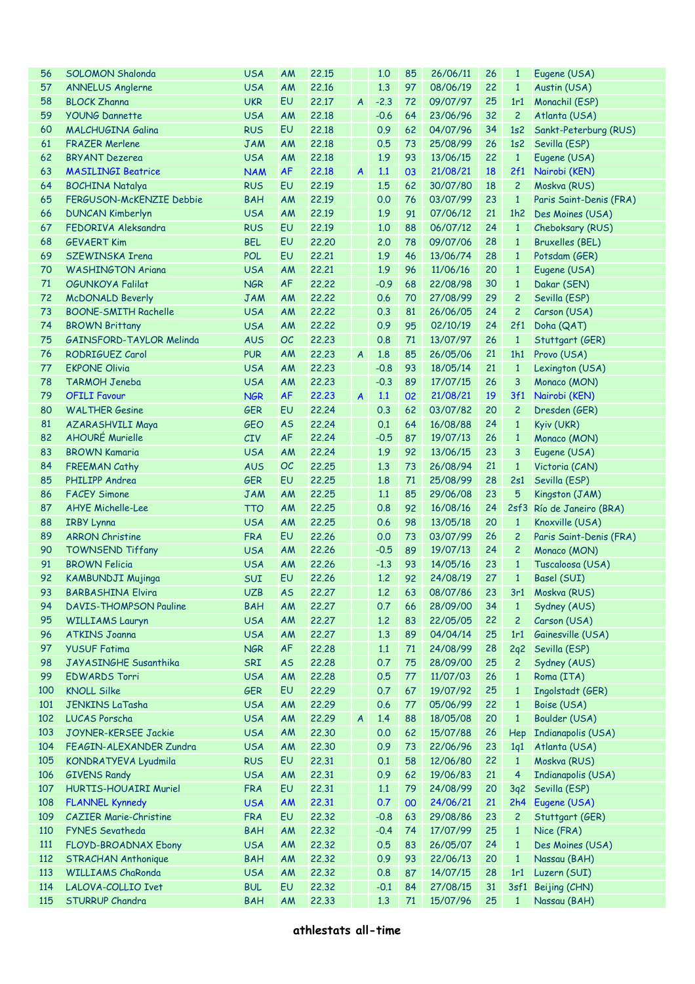| 56  | <b>SOLOMON Shalonda</b>       | <b>USA</b> | AM        | 22.15 |                  | 1.0    | 85 | 26/06/11    | 26        | $\mathbf{1}$   | Eugene (USA)                  |
|-----|-------------------------------|------------|-----------|-------|------------------|--------|----|-------------|-----------|----------------|-------------------------------|
| 57  | <b>ANNELUS Anglerne</b>       | <b>USA</b> | AM        | 22.16 |                  | 1.3    | 97 | 08/06/19    | 22        | $\mathbf{1}$   | Austin (USA)                  |
| 58  | <b>BLOCK Zhanna</b>           | <b>UKR</b> | EU        | 22.17 | $\boldsymbol{A}$ | $-2.3$ | 72 | 09/07/97    | 25        | 1r1            | Monachil (ESP)                |
| 59  | <b>YOUNG Dannette</b>         | <b>USA</b> | AM        | 22.18 |                  | $-0.6$ | 64 | 23/06/96    | 32        | $\overline{c}$ | Atlanta (USA)                 |
| 60  | <b>MALCHUGINA Galina</b>      | <b>RUS</b> | EU        | 22.18 |                  | 0.9    | 62 | 04/07/96    | 34        | 1s2            | Sankt-Peterburg (RUS)         |
| 61  | <b>FRAZER Merlene</b>         | <b>JAM</b> | AM        | 22.18 |                  | 0.5    | 73 | 25/08/99    | 26        | 1s2            | Sevilla (ESP)                 |
| 62  | <b>BRYANT Dezerea</b>         | <b>USA</b> | AM        | 22.18 |                  | 1.9    | 93 | 13/06/15    | 22        | $\mathbf{1}$   | Eugene (USA)                  |
| 63  | <b>MASILINGI Beatrice</b>     | <b>NAM</b> | <b>AF</b> | 22.18 | $\boldsymbol{A}$ | 1.1    | 03 | 21/08/21    | <b>18</b> | 2f1            | Nairobi (KEN)                 |
| 64  | <b>BOCHINA Natalya</b>        | <b>RUS</b> | EU        | 22.19 |                  | 1.5    | 62 | 30/07/80    | 18        | $\overline{c}$ | Moskva (RUS)                  |
| 65  | FERGUSON-McKENZIE Debbie      | <b>BAH</b> | AM        | 22.19 |                  | 0.0    | 76 | 03/07/99    | 23        | $\mathbf{1}$   | Paris Saint-Denis (FRA)       |
| 66  | <b>DUNCAN Kimberlyn</b>       | <b>USA</b> | AM        | 22.19 |                  | 1.9    | 91 | 07/06/12    | 21        | 1h2            | Des Moines (USA)              |
| 67  | FEDORIVA Aleksandra           | <b>RUS</b> | EU        | 22.19 |                  | 1.0    | 88 | 06/07/12    | 24        | $\mathbf{1}$   | Cheboksary (RUS)              |
| 68  | <b>GEVAERT Kim</b>            | <b>BEL</b> | EU        | 22,20 |                  | 2.0    | 78 | 09/07/06    | 28        | $\mathbf{1}$   | <b>Bruxelles (BEL)</b>        |
| 69  | SZEWINSKA Irena               | <b>POL</b> | EU        | 22.21 |                  | 1.9    | 46 | 13/06/74    | 28        |                |                               |
|     |                               |            |           |       |                  |        |    |             |           | $\mathbf{1}$   | Potsdam (GER)                 |
| 70  | <b>WASHINGTON Ariana</b>      | <b>USA</b> | AM        | 22.21 |                  | 1.9    | 96 | 11/06/16    | 20        | $\mathbf{1}$   | Eugene (USA)                  |
| 71  | <b>OGUNKOYA Falilat</b>       | <b>NGR</b> | <b>AF</b> | 22,22 |                  | $-0.9$ | 68 | 22/08/98    | 30        | $\mathbf{1}$   | Dakar (SEN)                   |
| 72  | <b>McDONALD Beverly</b>       | <b>JAM</b> | AM        | 22,22 |                  | 0.6    | 70 | 27/08/99    | 29        | $\overline{c}$ | Sevilla (ESP)                 |
| 73  | <b>BOONE-SMITH Rachelle</b>   | <b>USA</b> | AM        | 22,22 |                  | 0.3    | 81 | 26/06/05    | 24        | $\overline{c}$ | Carson (USA)                  |
| 74  | <b>BROWN Brittany</b>         | <b>USA</b> | AM        | 22,22 |                  | 0.9    | 95 | 02/10/19    | 24        | 2f1            | Doha (QAT)                    |
| 75  | GAINSFORD-TAYLOR Melinda      | <b>AUS</b> | OC        | 22,23 |                  | 0.8    | 71 | 13/07/97    | 26        | $\mathbf{1}$   | Stuttgart (GER)               |
| 76  | RODRIGUEZ Carol               | <b>PUR</b> | AM        | 22.23 | $\overline{A}$   | 1.8    | 85 | 26/05/06    | 21        | 1h1            | Provo (USA)                   |
| 77  | <b>EKPONE Olivia</b>          | <b>USA</b> | AM        | 22.23 |                  | $-0.8$ | 93 | 18/05/14    | 21        | $\mathbf{1}$   | Lexington (USA)               |
| 78  | <b>TARMOH Jeneba</b>          | <b>USA</b> | AM        | 22.23 |                  | $-0.3$ | 89 | 17/07/15    | 26        | 3              | Monaco (MON)                  |
| 79  | <b>OFILI Favour</b>           | <b>NGR</b> | <b>AF</b> | 22.23 | $\boldsymbol{A}$ | 1.1    | 02 | 21/08/21    | 19        | 3f1            | Nairobi (KEN)                 |
| 80  | <b>WALTHER Gesine</b>         | <b>GER</b> | EU        | 22,24 |                  | 0.3    | 62 | 03/07/82    | 20        | $\overline{c}$ | Dresden (GER)                 |
| 81  | AZARASHVILI Maya              | <b>GEO</b> | <b>AS</b> | 22,24 |                  | 0.1    | 64 | 16/08/88    | 24        | $\mathbf{1}$   | Kyiv (UKR)                    |
| 82  | <b>AHOURÉ Murielle</b>        | CIV        | <b>AF</b> | 22,24 |                  | $-0.5$ | 87 | 19/07/13    | 26        | $\mathbf{1}$   | Monaco (MON)                  |
| 83  | <b>BROWN Kamaria</b>          | <b>USA</b> | AM        | 22.24 |                  | 1.9    | 92 | 13/06/15    | 23        | 3              | Eugene (USA)                  |
| 84  | <b>FREEMAN Cathy</b>          | <b>AUS</b> | OC        | 22,25 |                  | 1.3    | 73 | 26/08/94    | 21        | $\mathbf{1}$   | Victoria (CAN)                |
| 85  | PHILIPP Andrea                | <b>GER</b> | EU        | 22.25 |                  | 1.8    | 71 | 25/08/99    | 28        | 2s1            | Sevilla (ESP)                 |
| 86  | <b>FACEY Simone</b>           | <b>JAM</b> | AM        | 22.25 |                  | 1.1    | 85 | 29/06/08    | 23        | 5              | Kingston (JAM)                |
| 87  | <b>AHYE Michelle-Lee</b>      | <b>TTO</b> | AM        | 22.25 |                  | 0.8    | 92 | 16/08/16    | 24        |                | 2sf3 Río de Janeiro (BRA)     |
| 88  | <b>IRBY Lynna</b>             | <b>USA</b> | AM        | 22.25 |                  | 0.6    | 98 | 13/05/18    | 20        | $\mathbf{1}$   | Knoxville (USA)               |
| 89  | <b>ARRON Christine</b>        | <b>FRA</b> | EU        | 22.26 |                  | 0.0    | 73 | 03/07/99    | 26        | $\overline{c}$ | Paris Saint-Denis (FRA)       |
| 90  | <b>TOWNSEND Tiffany</b>       | <b>USA</b> | AM        | 22,26 |                  | $-0.5$ | 89 | 19/07/13    | 24        | $\overline{c}$ | Monaco (MON)                  |
| 91  | <b>BROWN Felicia</b>          | <b>USA</b> | AM        | 22.26 |                  | $-1.3$ | 93 | 14/05/16    | 23        | $\mathbf{1}$   | Tuscaloosa (USA)              |
| 92  | KAMBUNDJI Mujinga             | <b>SUI</b> | EU        | 22.26 |                  | 1.2    | 92 | 24/08/19    | 27        | $\mathbf{1}$   | Basel (SUI)                   |
| 93  | <b>BARBASHINA Elvira</b>      | <b>UZB</b> | <b>AS</b> | 22.27 |                  | 1.2    |    | 63 08/07/86 |           |                | 23 3r1 Moskva (RUS)           |
| 94  | <b>DAVIS-THOMPSON Pauline</b> | <b>BAH</b> | AM        | 22,27 |                  | 0.7    | 66 | 28/09/00    | 34        | $\mathbf{1}$   | Sydney (AUS)                  |
| 95  | <b>WILLIAMS Lauryn</b>        | <b>USA</b> | AM        | 22,27 |                  | 1.2    | 83 | 22/05/05    | 22        | $\overline{c}$ | Carson (USA)                  |
| 96  | <b>ATKINS Joanna</b>          | <b>USA</b> | AM        | 22,27 |                  | 1.3    | 89 | 04/04/14    | 25        | 1r1            | Gainesville (USA)             |
| 97  | <b>YUSUF Fatima</b>           | <b>NGR</b> | <b>AF</b> | 22.28 |                  | 1.1    | 71 | 24/08/99    | 28        | 2q2            | Sevilla (ESP)                 |
|     |                               |            |           |       |                  |        |    |             |           |                | Sydney (AUS)                  |
| 98  | JAYASINGHE Susanthika         | SRI        | <b>AS</b> | 22.28 |                  | 0.7    | 75 | 28/09/00    | 25        | $\overline{c}$ |                               |
| 99  | <b>EDWARDS Torri</b>          | <b>USA</b> | AM        | 22.28 |                  | 0.5    | 77 | 11/07/03    | 26        | $\mathbf{1}$   | Roma (ITA)                    |
| 100 | <b>KNOLL Silke</b>            | <b>GER</b> | EU        | 22.29 |                  | 0.7    | 67 | 19/07/92    | 25        | $\mathbf{1}$   | Ingolstadt (GER)              |
| 101 | <b>JENKINS LaTasha</b>        | <b>USA</b> | AM        | 22.29 |                  | 0.6    | 77 | 05/06/99    | 22        | $\mathbf{1}$   | Boise (USA)                   |
| 102 | <b>LUCAS Porscha</b>          | <b>USA</b> | AM        | 22.29 | $\boldsymbol{A}$ | 1.4    | 88 | 18/05/08    | 20        | $\mathbf{1}$   | Boulder (USA)                 |
| 103 | JOYNER-KERSEE Jackie          | <b>USA</b> | AM        | 22,30 |                  | 0.0    | 62 | 15/07/88    | 26        | Hep            | Indianapolis (USA)            |
| 104 | FEAGIN-ALEXANDER Zundra       | <b>USA</b> | AM        | 22,30 |                  | 0.9    | 73 | 22/06/96    | 23        | 1q1            | Atlanta (USA)                 |
| 105 | KONDRATYEVA Lyudmila          | <b>RUS</b> | EU        | 22.31 |                  | 0.1    | 58 | 12/06/80    | 22        | $\mathbf{1}$   | Moskva (RUS)                  |
| 106 | <b>GIVENS Randy</b>           | <b>USA</b> | <b>AM</b> | 22.31 |                  | 0.9    | 62 | 19/06/83    | 21        | $\overline{4}$ | Indianapolis (USA)            |
| 107 | HURTIS-HOUAIRI Muriel         | <b>FRA</b> | EU        | 22.31 |                  | 1.1    | 79 | 24/08/99    | 20        | 3q2            | Sevilla (ESP)                 |
| 108 | <b>FLANNEL Kynnedy</b>        | <b>USA</b> | <b>AM</b> | 22.31 |                  | 0.7    | 00 | 24/06/21    | 21        | 2h4            | Eugene (USA)                  |
| 109 | <b>CAZIER Marie-Christine</b> | <b>FRA</b> | EU        | 22,32 |                  | $-0.8$ | 63 | 29/08/86    | 23        | $\overline{c}$ | Stuttgart (GER)               |
| 110 | FYNES Sevatheda               | <b>BAH</b> | <b>AM</b> | 22,32 |                  | $-0.4$ | 74 | 17/07/99    | 25        | $\mathbf{1}$   | Nice (FRA)                    |
| 111 | FLOYD-BROADNAX Ebony          | <b>USA</b> | AM        | 22,32 |                  | 0.5    | 83 | 26/05/07    | 24        | $\mathbf{1}$   | Des Moines (USA)              |
| 112 | <b>STRACHAN Anthonique</b>    | <b>BAH</b> | AM        | 22,32 |                  | 0.9    | 93 | 22/06/13    | 20        | $\mathbf{1}$   | Nassau (BAH)                  |
| 113 | <b>WILLIAMS ChaRonda</b>      | <b>USA</b> | <b>AM</b> | 22,32 |                  | 0.8    | 87 | 14/07/15    | 28        | 1r1            | Luzern (SUI)                  |
| 114 |                               |            |           |       |                  |        |    |             |           |                |                               |
|     | LALOVA-COLLIO Ivet            | <b>BUL</b> | EU        | 22,32 |                  | $-0.1$ | 84 | 27/08/15    | 31        | 3sf1           |                               |
| 115 | <b>STURRUP Chandra</b>        | <b>BAH</b> | AM        | 22.33 |                  | 1.3    | 71 | 15/07/96    | 25        | $\mathbf{1}$   | Beijing (CHN)<br>Nassau (BAH) |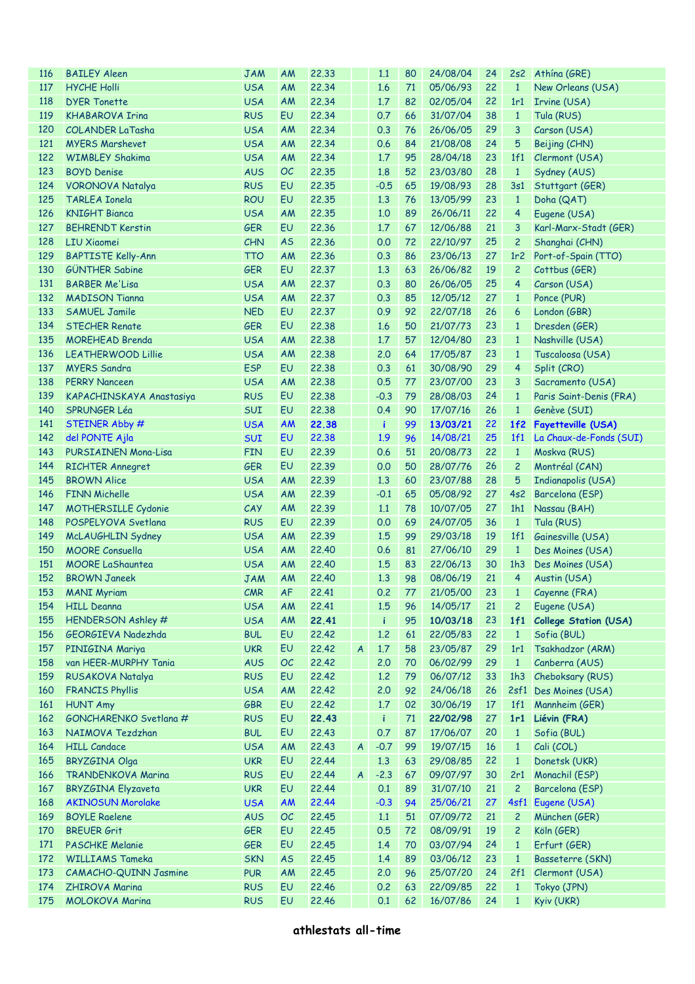| <b>116</b> | <b>BAILEY Aleen</b>                             | <b>JAM</b> | <b>AM</b> | 22.33 |                  | 1.1    | 80 | 24/08/04       | 24   |                 | 2s2 Athina (GRE)             |
|------------|-------------------------------------------------|------------|-----------|-------|------------------|--------|----|----------------|------|-----------------|------------------------------|
| 117        | <b>HYCHE Holli</b>                              | <b>USA</b> | AM        | 22.34 |                  | 1.6    | 71 | 05/06/93       | 22   | $\mathbf{1}$    | New Orleans (USA)            |
| 118        | <b>DYER Tonette</b>                             | <b>USA</b> | AM        | 22.34 |                  | 1.7    | 82 | 02/05/04       | 22   | 1r1             | Irvine (USA)                 |
| 119        | <b>KHABAROVA Irina</b>                          | <b>RUS</b> | EU        | 22.34 |                  | 0.7    | 66 | 31/07/04       | 38   | $\mathbf{1}$    | Tula (RUS)                   |
| 120        | <b>COLANDER LaTasha</b>                         | <b>USA</b> | AM        | 22.34 |                  | 0.3    | 76 | 26/06/05       | 29   | 3               | Carson (USA)                 |
| 121        | <b>MYERS Marshevet</b>                          | <b>USA</b> | AM        | 22.34 |                  | 0.6    | 84 | 21/08/08       | 24   | 5               | Beijing (CHN)                |
| 122        | <b>WIMBLEY Shakima</b>                          | <b>USA</b> | AM        | 22.34 |                  | 1.7    | 95 | 28/04/18       | 23   | 1f1             | Clermont (USA)               |
| 123        | <b>BOYD Denise</b>                              | <b>AUS</b> | OC        | 22.35 |                  | 1.8    | 52 | 23/03/80       | 28   | $\mathbf{1}$    | Sydney (AUS)                 |
| 124        | <b>VORONOVA Natalya</b>                         | <b>RUS</b> | EU        | 22.35 |                  | $-0.5$ | 65 | 19/08/93       | 28   | 3s1             | Stuttgart (GER)              |
| 125        | <b>TARLEA Ionela</b>                            | <b>ROU</b> | EU        | 22.35 |                  | 1.3    | 76 | 13/05/99       | 23   | $\mathbf{1}$    | Doha (QAT)                   |
| 126        | <b>KNIGHT Bianca</b>                            | <b>USA</b> | <b>AM</b> | 22.35 |                  | 1.0    | 89 | 26/06/11       | 22   | $\overline{4}$  | Eugene (USA)                 |
| 127        | <b>BEHRENDT Kerstin</b>                         | <b>GER</b> | EU        | 22.36 |                  | 1.7    | 67 | 12/06/88       | 21   | 3               | Karl-Marx-Stadt (GER)        |
| 128        | <b>LIU Xiaomei</b>                              | <b>CHN</b> | <b>AS</b> | 22.36 |                  | 0.0    | 72 | 22/10/97       | 25   | $\overline{c}$  | Shanghai (CHN)               |
| 129        | <b>BAPTISTE Kelly-Ann</b>                       | <b>TTO</b> | <b>AM</b> | 22.36 |                  | 0.3    | 86 | 23/06/13       | 27   | 1r <sub>2</sub> | Port-of-Spain (TTO)          |
| 130        | <b>GÜNTHER Sabine</b>                           | <b>GER</b> | EU        | 22.37 |                  | 1.3    | 63 | 26/06/82       | 19   | $\overline{c}$  | Cottbus (GER)                |
| 131        | <b>BARBER Me'Lisa</b>                           | <b>USA</b> | <b>AM</b> | 22.37 |                  | 0.3    | 80 | 26/06/05       | 25   | $\overline{4}$  | Carson (USA)                 |
| 132        | <b>MADISON Tianna</b>                           | <b>USA</b> | AM        | 22.37 |                  | 0.3    | 85 | 12/05/12       | 27   | $\mathbf{1}$    | Ponce (PUR)                  |
| 133        | <b>SAMUEL Jamile</b>                            | <b>NED</b> | EU        | 22.37 |                  | 0.9    | 92 | 22/07/18       | 26   | 6               | London (GBR)                 |
| 134        | <b>STECHER Renate</b>                           | <b>GER</b> | EU        | 22.38 |                  | 1.6    | 50 | 21/07/73       | 23   | $\mathbf{1}$    | Dresden (GER)                |
| 135        | <b>MOREHEAD Brenda</b>                          | <b>USA</b> | AM        | 22.38 |                  | 1.7    | 57 | 12/04/80       | 23   | $\mathbf{1}$    | Nashville (USA)              |
| 136        | <b>LEATHERWOOD Lillie</b>                       | <b>USA</b> | AM        | 22,38 |                  | 2.0    | 64 | 17/05/87       | 23   | $\mathbf{1}$    | Tuscaloosa (USA)             |
| 137        | <b>MYERS Sandra</b>                             | <b>ESP</b> | EU        | 22.38 |                  | 0.3    | 61 | 30/08/90       | 29   | $\overline{4}$  | Split (CRO)                  |
| 138        | <b>PERRY Nanceen</b>                            | <b>USA</b> | AM        | 22.38 |                  | 0.5    | 77 | 23/07/00       | 23   | 3               | Sacramento (USA)             |
| 139        |                                                 | <b>RUS</b> | EU        | 22.38 |                  | $-0.3$ | 79 | 28/08/03       | 24   | $\mathbf{1}$    | Paris Saint-Denis (FRA)      |
| 140        | KAPACHINSKAYA Anastasiya<br><b>SPRUNGER Léa</b> | <b>SUI</b> | EU        | 22.38 |                  | 0.4    | 90 | 17/07/16       | 26   |                 |                              |
|            |                                                 |            |           |       |                  |        |    |                |      | $\mathbf{1}$    | Genève (SUI)                 |
| 141        | STEINER Abby #                                  | <b>USA</b> | <b>AM</b> | 22.38 |                  | ÷      | 99 | 13/03/21       | 22   | 1f2             | <b>Fayetteville (USA)</b>    |
| 142        | del PONTE Ajla                                  | <b>SUI</b> | EU        | 22.38 |                  | 1.9    | 96 | 14/08/21       | 25   | 1f1             | La Chaux-de-Fonds (SUI)      |
| 143        | PURSIAINEN Mona-Lisa                            | <b>FIN</b> | EU        | 22.39 |                  | 0.6    | 51 | 20/08/73       | 22   | $\mathbf{1}$    | Moskva (RUS)                 |
| 144        | <b>RICHTER Annegret</b>                         | <b>GER</b> | EU        | 22.39 |                  | 0.0    | 50 | 28/07/76       | 26   | $\overline{c}$  | Montréal (CAN)               |
| 145        | <b>BROWN Alice</b>                              | <b>USA</b> | AM        | 22.39 |                  | 1.3    | 60 | 23/07/88       | 28   | 5               | Indianapolis (USA)           |
| 146        | <b>FINN Michelle</b>                            | <b>USA</b> | AM        | 22.39 |                  | $-0.1$ | 65 | 05/08/92       | 27   | 4s2             | Barcelona (ESP)              |
| 147        | <b>MOTHERSILLE Cydonie</b>                      | CAY        | AM        | 22.39 |                  | 1.1    | 78 | 10/07/05       | 27   | 1h1             | Nassau (BAH)                 |
| 148        | POSPELYOVA Svetlana                             | <b>RUS</b> | EU        | 22.39 |                  | 0.0    | 69 | 24/07/05       | 36   | $\mathbf{1}$    | Tula (RUS)                   |
| 149        | McLAUGHLIN Sydney                               | <b>USA</b> | AM        | 22.39 |                  | 1.5    | 99 | 29/03/18       | 19   | 1f1             | Gainesville (USA)            |
| 150        | <b>MOORE Consuella</b>                          | <b>USA</b> | AM        | 22.40 |                  | 0.6    | 81 | 27/06/10       | 29   | $\mathbf{1}$    | Des Moines (USA)             |
| 151        | <b>MOORE LaShauntea</b>                         | <b>USA</b> | AM        | 22.40 |                  | 1.5    | 83 | 22/06/13       | 30   | 1h3             | Des Moines (USA)             |
| 152        | <b>BROWN Janeek</b>                             | <b>JAM</b> | AM        | 22.40 |                  | 1.3    | 98 | 08/06/19       | 21   | $\overline{4}$  | Austin (USA)                 |
|            | 153 MANI Myriam                                 | CMR        | AF        | 22.41 |                  | 0.2    |    | 77 21/05/00 23 |      |                 | 1 Cayenne (FRA)              |
| 154        | <b>HILL Deanna</b>                              | <b>USA</b> | AM        | 22.41 |                  | 1.5    | 96 | 14/05/17       | 21   | 2               | Eugene (USA)                 |
| 155        | HENDERSON Ashley #                              | <b>USA</b> | AM        | 22.41 |                  | ÷      | 95 | 10/03/18       | 23   | 1f1             | <b>College Station (USA)</b> |
| 156        | GEORGIEVA Nadezhda                              | <b>BUL</b> | EU        | 22.42 |                  | 1.2    | 61 | 22/05/83       | 22   | $\mathbf{1}$    | Sofia (BUL)                  |
| 157        | PINIGINA Mariya                                 | <b>UKR</b> | EU        | 22.42 | $\boldsymbol{A}$ | 1.7    | 58 | 23/05/87       | 29   | 1r1             | Tsakhadzor (ARM)             |
| 158        | van HEER-MURPHY Tania                           | <b>AUS</b> | OC        | 22.42 |                  | 2.0    | 70 | 06/02/99       | 29   | $\mathbf{1}$    | Canberra (AUS)               |
| 159        | RUSAKOVA Natalya                                | <b>RUS</b> | EU        | 22.42 |                  | 1.2    | 79 | 06/07/12       | 33   | 1h3             | Cheboksary (RUS)             |
| 160        | <b>FRANCIS Phyllis</b>                          | <b>USA</b> | AM        | 22.42 |                  | 2.0    | 92 | 24/06/18       | 26   |                 | 2sf1 Des Moines (USA)        |
| 161        | <b>HUNT Amy</b>                                 | <b>GBR</b> | EU        | 22.42 |                  | 1.7    | 02 | 30/06/19       | 17   | 1f1             | Mannheim (GER)               |
| 162        | GONCHARENKO Svetlana #                          | <b>RUS</b> | EU        | 22.43 |                  | ÷      | 71 | 22/02/98       | 27   | 1r1             | Liévin (FRA)                 |
| 163        | NAIMOVA Tezdzhan                                | <b>BUL</b> | EU        | 22.43 |                  | 0.7    | 87 | 17/06/07       | 20   | $\mathbf{1}$    | Sofia (BUL)                  |
| 164        | <b>HILL Candace</b>                             | <b>USA</b> | AM        | 22.43 | $\overline{A}$   | $-0.7$ | 99 | 19/07/15       | $16$ | $\mathbf{1}$    | Cali (COL)                   |
| 165        | <b>BRYZGINA Olga</b>                            | <b>UKR</b> | EU        | 22.44 |                  | 1.3    | 63 | 29/08/85       | 22   | $\mathbf{1}$    | Donetsk (UKR)                |
| 166        | <b>TRANDENKOVA Marina</b>                       | <b>RUS</b> | EU        | 22.44 | $\mathsf{A}$     | $-2.3$ | 67 | 09/07/97       | 30   | 2r1             | Monachil (ESP)               |
| 167        | <b>BRYZGINA Elyzaveta</b>                       | <b>UKR</b> | EU        | 22.44 |                  | 0.1    | 89 | 31/07/10       | 21   | $\overline{c}$  | Barcelona (ESP)              |
| 168        | <b>AKINOSUN Morolake</b>                        | <b>USA</b> | <b>AM</b> | 22.44 |                  | $-0.3$ | 94 | 25/06/21       | 27   | 4sf1            | Eugene (USA)                 |
| 169        | <b>BOYLE Raelene</b>                            | <b>AUS</b> | OC        | 22.45 |                  | 1.1    | 51 | 07/09/72       | 21   | $\overline{c}$  | München (GER)                |
| 170        | <b>BREUER Grit</b>                              | <b>GER</b> | EU        | 22.45 |                  | 0.5    | 72 | 08/09/91       | 19   | $\overline{c}$  | Köln (GER)                   |
| 171        | <b>PASCHKE Melanie</b>                          | <b>GER</b> | EU        | 22.45 |                  | 1.4    | 70 | 03/07/94       | 24   | $\mathbf{1}$    | Erfurt (GER)                 |
| 172        | <b>WILLIAMS Tameka</b>                          | <b>SKN</b> | <b>AS</b> | 22.45 |                  | 1.4    | 89 | 03/06/12       | 23   | $\mathbf{1}$    | Basseterre (SKN)             |
| 173        | CAMACHO-QUINN Jasmine                           | <b>PUR</b> | AM        | 22.45 |                  | 2.0    | 96 | 25/07/20       | 24   | 2f1             | Clermont (USA)               |
| 174        | <b>ZHIROVA Marina</b>                           | <b>RUS</b> | EU        | 22.46 |                  | 0.2    | 63 | 22/09/85       | 22   | $\mathbf{1}$    | Tokyo (JPN)                  |
| 175        | MOLOKOVA Marina                                 | <b>RUS</b> | EU        | 22.46 |                  | 0.1    | 62 | 16/07/86       | 24   | $\mathbf{1}$    | Kyiv (UKR)                   |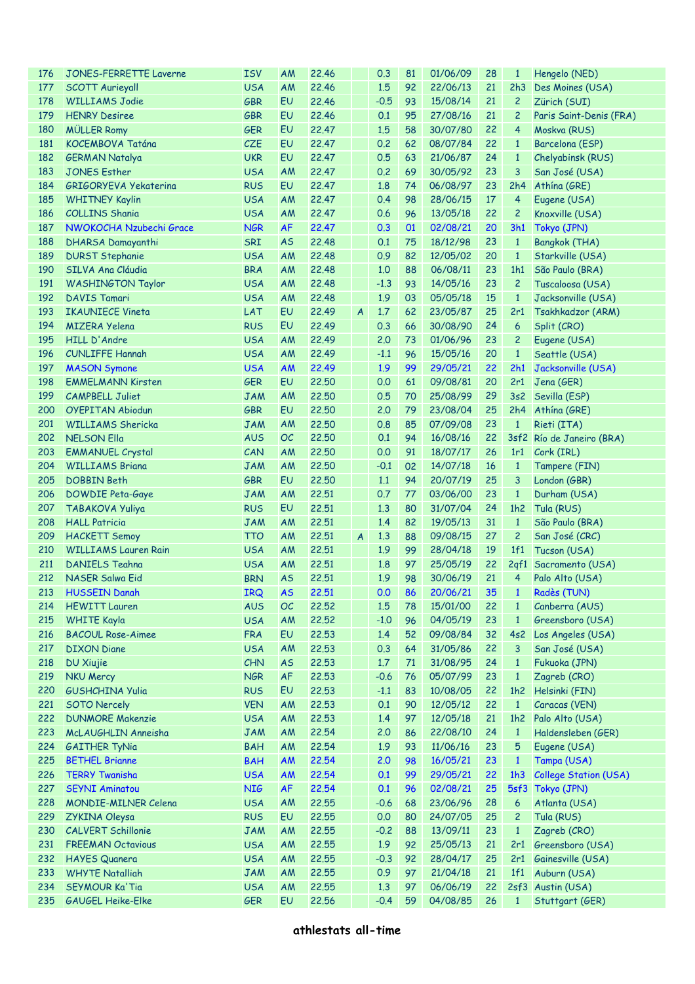| 176 | <b>JONES-FERRETTE Laverne</b> | <b>ISV</b> | AM        | 22.46 |                | 0.3    | 81 | 01/06/09 | 28              | $\mathbf{1}$        | Hengelo (NED)                |
|-----|-------------------------------|------------|-----------|-------|----------------|--------|----|----------|-----------------|---------------------|------------------------------|
| 177 | <b>SCOTT Aurieyall</b>        | <b>USA</b> | AM        | 22.46 |                | 1.5    | 92 | 22/06/13 | 21              | 2h3                 | Des Moines (USA)             |
| 178 | <b>WILLIAMS Jodie</b>         | <b>GBR</b> | EU        | 22.46 |                | $-0.5$ | 93 | 15/08/14 | 21              | $\overline{c}$      | Zürich (SUI)                 |
| 179 | <b>HENRY Desiree</b>          | <b>GBR</b> | EU        | 22.46 |                | 0.1    | 95 | 27/08/16 | 21              | $\overline{c}$      | Paris Saint-Denis (FRA)      |
| 180 | <b>MÜLLER Romy</b>            | <b>GER</b> | EU        | 22.47 |                | 1.5    | 58 | 30/07/80 | 22              | $\overline{4}$      | Moskva (RUS)                 |
| 181 | KOCEMBOVA Tatána              | CZE        | EU        | 22.47 |                | 0.2    | 62 | 08/07/84 | 22              | $\mathbf{1}$        | Barcelona (ESP)              |
| 182 | <b>GERMAN Natalya</b>         | <b>UKR</b> | EU        | 22.47 |                | 0.5    | 63 | 21/06/87 | 24              | $\mathbf{1}$        | Chelyabinsk (RUS)            |
| 183 | <b>JONES Esther</b>           | <b>USA</b> | AM        | 22.47 |                | 0.2    | 69 | 30/05/92 | 23              | 3                   | San José (USA)               |
| 184 | <b>GRIGORYEVA Yekaterina</b>  | <b>RUS</b> | EU        | 22.47 |                | 1.8    | 74 | 06/08/97 | 23              | 2h4                 | Athína (GRE)                 |
| 185 | <b>WHITNEY Kaylin</b>         | <b>USA</b> | AM        | 22.47 |                | 0.4    | 98 | 28/06/15 | 17              | $\overline{4}$      | Eugene (USA)                 |
| 186 | <b>COLLINS Shania</b>         | <b>USA</b> | AM        | 22.47 |                | 0.6    | 96 | 13/05/18 | 22              | $\overline{c}$      | Knoxville (USA)              |
| 187 | NWOKOCHA Nzubechi Grace       | <b>NGR</b> | <b>AF</b> | 22.47 |                | 0.3    | 01 | 02/08/21 | 20              | 3h1                 | Tokyo (JPN)                  |
| 188 | DHARSA Damayanthi             | SRI        | <b>AS</b> | 22.48 |                | 0.1    | 75 | 18/12/98 | 23              | $\mathbf{1}$        | Bangkok (THA)                |
| 189 | <b>DURST Stephanie</b>        | <b>USA</b> | AM        | 22.48 |                | 0.9    | 82 | 12/05/02 | 20              | $\mathbf{1}$        | Starkville (USA)             |
| 190 | SILVA Ana Cláudia             | <b>BRA</b> | AM        | 22.48 |                | 1.0    | 88 | 06/08/11 | 23              | 1h1                 | São Paulo (BRA)              |
| 191 | <b>WASHINGTON Taylor</b>      | <b>USA</b> | AM        | 22.48 |                | $-1.3$ | 93 | 14/05/16 | 23              | $\overline{c}$      | Tuscaloosa (USA)             |
| 192 | <b>DAVIS Tamari</b>           | <b>USA</b> | AM        | 22.48 |                | 1.9    | 03 | 05/05/18 | 15              | $\mathbf{1}$        | Jacksonville (USA)           |
| 193 | <b>IKAUNIECE Vineta</b>       | LAT        | EU        | 22.49 | $\overline{A}$ | 1.7    | 62 | 23/05/87 | 25              | 2r1                 | Tsakhkadzor (ARM)            |
| 194 | <b>MIZERA Yelena</b>          | <b>RUS</b> | EU        | 22.49 |                | 0.3    | 66 | 30/08/90 | 24              | $\ddot{\mathbf{6}}$ | Split (CRO)                  |
| 195 | HILL D'Andre                  | <b>USA</b> | AM        | 22.49 |                | 2.0    | 73 | 01/06/96 | 23              | $\overline{c}$      | Eugene (USA)                 |
| 196 | <b>CUNLIFFE Hannah</b>        | <b>USA</b> | AM        | 22.49 |                | $-1.1$ | 96 | 15/05/16 | 20              | $\mathbf{1}$        | Seattle (USA)                |
| 197 | <b>MASON Symone</b>           | <b>USA</b> | <b>AM</b> | 22.49 |                | 1.9    | 99 | 29/05/21 | 22              | 2h1                 | Jacksonville (USA)           |
| 198 | <b>EMMELMANN Kirsten</b>      | <b>GER</b> | EU        | 22.50 |                | 0.0    | 61 | 09/08/81 | 20              | 2r1                 | Jena (GER)                   |
| 199 | <b>CAMPBELL Juliet</b>        | <b>JAM</b> | AM        | 22.50 |                | 0.5    | 70 | 25/08/99 | 29              | 3s2                 | Sevilla (ESP)                |
| 200 | <b>OYEPITAN Abiodun</b>       | <b>GBR</b> | EU        | 22.50 |                | 2.0    | 79 | 23/08/04 | 25              | 2h4                 | Athina (GRE)                 |
| 201 | <b>WILLIAMS Shericka</b>      | <b>JAM</b> | AM        | 22.50 |                | 0.8    | 85 | 07/09/08 | 23              | $\mathbf{1}$        | Rieti (ITA)                  |
| 202 | <b>NELSON Ella</b>            | <b>AUS</b> | OC        | 22.50 |                | 0.1    | 94 | 16/08/16 | 22              |                     |                              |
| 203 |                               | CAN        |           | 22.50 |                | 0.0    | 91 | 18/07/17 | 26              | 1r1                 | 3sf2 Río de Janeiro (BRA)    |
|     | <b>EMMANUEL Crystal</b>       |            | AM        |       |                |        |    |          |                 |                     | Cork (IRL)                   |
| 204 | <b>WILLIAMS Briana</b>        | <b>JAM</b> | AM        | 22.50 |                | $-0.1$ | 02 | 14/07/18 | 16              | $\mathbf{1}$        | Tampere (FIN)                |
| 205 | <b>DOBBIN Beth</b>            | <b>GBR</b> | EU        | 22.50 |                | 1.1    | 94 | 20/07/19 | 25              | 3                   | London (GBR)                 |
| 206 | DOWDIE Peta-Gaye              | <b>JAM</b> | AM        | 22.51 |                | 0.7    | 77 | 03/06/00 | 23              | $\mathbf{1}$        | Durham (USA)                 |
| 207 | <b>TABAKOVA Yuliya</b>        | <b>RUS</b> | EU        | 22.51 |                | 1.3    | 80 | 31/07/04 | 24              | 1h2                 | Tula (RUS)                   |
| 208 | <b>HALL Patricia</b>          | <b>JAM</b> | AM        | 22.51 |                | 1.4    | 82 | 19/05/13 | 31              | $\mathbf{1}$        | São Paulo (BRA)              |
| 209 | <b>HACKETT Semoy</b>          | <b>TTO</b> | AM        | 22.51 | $\overline{A}$ | 1.3    | 88 | 09/08/15 | 27              | $\overline{c}$      | San José (CRC)               |
| 210 | <b>WILLIAMS Lauren Rain</b>   | <b>USA</b> | AM        | 22.51 |                | 1.9    | 99 | 28/04/18 | 19              | 1f1                 | Tucson (USA)                 |
| 211 | <b>DANIELS Teahna</b>         | <b>USA</b> | <b>AM</b> | 22.51 |                | 1.8    | 97 | 25/05/19 | 22              | 2qf1                | Sacramento (USA)             |
| 212 | NASER Salwa Eid               | <b>BRN</b> | <b>AS</b> | 22.51 |                | 1.9    | 98 | 30/06/19 | 21              | $\overline{4}$      | Palo Alto (USA)              |
|     | 213 HUSSEIN Danah             | <b>IRQ</b> | AS        | 22.51 |                | 0.0    | 86 | 20/06/21 | 35 <sup>7</sup> |                     | 1 Radès (TUN)                |
| 214 | <b>HEWITT Lauren</b>          | <b>AUS</b> | OC        | 22,52 |                | 1.5    | 78 | 15/01/00 | 22              | $\mathbf{1}$        | Canberra (AUS)               |
| 215 | <b>WHITE Kayla</b>            | <b>USA</b> | AM        | 22,52 |                | $-1.0$ | 96 | 04/05/19 | 23              | $\mathbf{1}$        | Greensboro (USA)             |
| 216 | <b>BACOUL Rose-Aimee</b>      | <b>FRA</b> | EU        | 22.53 |                | 1.4    | 52 | 09/08/84 | 32              | 4s2                 | Los Angeles (USA)            |
| 217 | <b>DIXON Diane</b>            | <b>USA</b> | AM        | 22.53 |                | 0.3    | 64 | 31/05/86 | 22              | 3                   | San José (USA)               |
| 218 | <b>DU Xiujie</b>              | CHN        | <b>AS</b> | 22.53 |                | 1.7    | 71 | 31/08/95 | 24              | $\mathbf{1}$        | Fukuoka (JPN)                |
| 219 | <b>NKU Mercy</b>              | <b>NGR</b> | AF        | 22.53 |                | $-0.6$ | 76 | 05/07/99 | 23              | $\mathbf{1}$        | Zagreb (CRO)                 |
| 220 | <b>GUSHCHINA Yulia</b>        | <b>RUS</b> | EU        | 22.53 |                | $-1.1$ | 83 | 10/08/05 | 22              | 1h2                 | Helsinki (FIN)               |
| 221 | <b>SOTO Nercely</b>           | <b>VEN</b> | AM        | 22.53 |                | 0.1    | 90 | 12/05/12 | 22              | $\mathbf{1}$        | Caracas (VEN)                |
| 222 | <b>DUNMORE Makenzie</b>       | <b>USA</b> | AM        | 22.53 |                | 1.4    | 97 | 12/05/18 | 21              | 1h2                 | Palo Alto (USA)              |
| 223 | McLAUGHLIN Anneisha           | <b>JAM</b> | AM        | 22.54 |                | 2.0    | 86 | 22/08/10 | 24              | $\mathbf{1}$        | Haldensleben (GER)           |
| 224 | <b>GAITHER TyNia</b>          | <b>BAH</b> | AM        | 22.54 |                | 1.9    | 93 | 11/06/16 | 23              | 5                   | Eugene (USA)                 |
| 225 | <b>BETHEL Brianne</b>         | <b>BAH</b> | <b>AM</b> | 22.54 |                | 2.0    | 98 | 16/05/21 | 23              | $\mathbf{1}$        | Tampa (USA)                  |
| 226 | <b>TERRY Twanisha</b>         | <b>USA</b> | <b>AM</b> | 22.54 |                | 0.1    | 99 | 29/05/21 | 22              | 1h3                 | <b>College Station (USA)</b> |
| 227 | <b>SEYNI Aminatou</b>         | <b>NIG</b> | <b>AF</b> | 22.54 |                | 0.1    | 96 | 02/08/21 | 25              | 5sf3                | Tokyo (JPN)                  |
| 228 | <b>MONDIE-MILNER Celena</b>   | <b>USA</b> | AM        | 22.55 |                | $-0.6$ | 68 | 23/06/96 | 28              | 6                   | Atlanta (USA)                |
| 229 | <b>ZYKINA Oleysa</b>          | <b>RUS</b> | EU        | 22.55 |                | 0.0    | 80 | 24/07/05 | 25              | $\overline{c}$      | Tula (RUS)                   |
| 230 | <b>CALVERT Schillonie</b>     | <b>JAM</b> | AM        | 22.55 |                | $-0.2$ | 88 | 13/09/11 | 23              | $\mathbf{1}$        | Zagreb (CRO)                 |
| 231 | <b>FREEMAN Octavious</b>      | <b>USA</b> | AM        | 22.55 |                | 1.9    | 92 | 25/05/13 | 21              | 2r1                 | Greensboro (USA)             |
| 232 | <b>HAYES Quanera</b>          | <b>USA</b> | AM        | 22.55 |                | $-0.3$ | 92 | 28/04/17 | 25              | 2r1                 | Gainesville (USA)            |
| 233 | <b>WHYTE Natalliah</b>        | <b>JAM</b> | AM        | 22.55 |                | 0.9    | 97 | 21/04/18 | 21              | 1f1                 | Auburn (USA)                 |
| 234 | <b>SEYMOUR Ka'Tia</b>         | <b>USA</b> | AM        | 22.55 |                | 1.3    | 97 | 06/06/19 | 22              |                     | 2sf3 Austin (USA)            |
| 235 | <b>GAUGEL Heike-Elke</b>      | <b>GER</b> | EU        | 22.56 |                | $-0.4$ | 59 | 04/08/85 | 26              | $\mathbf{1}$        | Stuttgart (GER)              |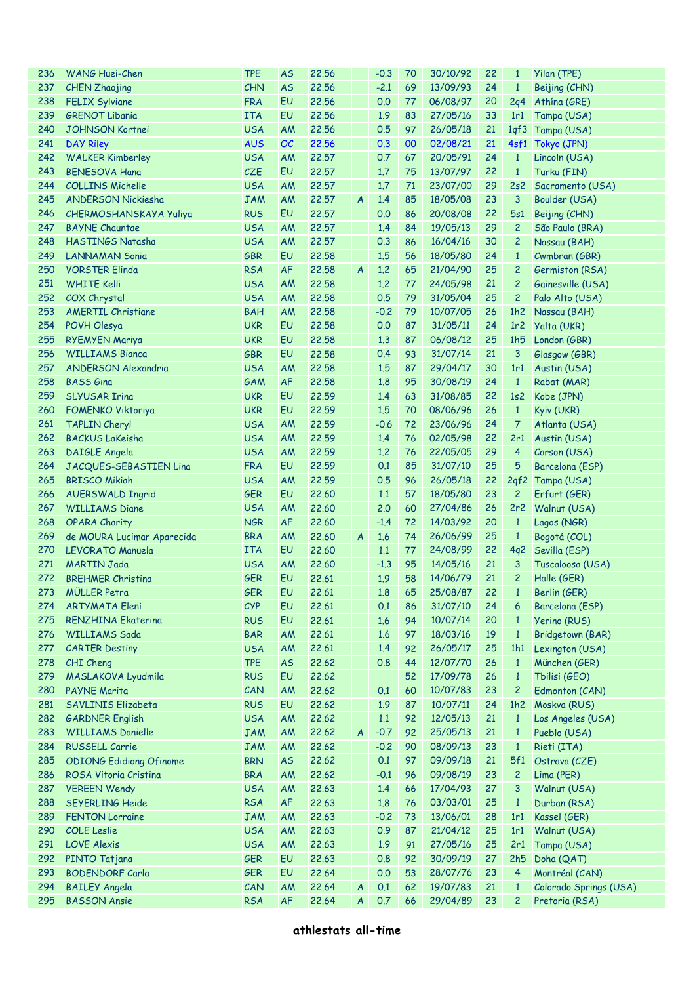| 236 | <b>WANG Huei-Chen</b>          | <b>TPE</b> | <b>AS</b> | 22.56 |                  | $-0.3$ | 70 | 30/10/92 | 22 | $\mathbf{1}$    | Yilan (TPE)            |
|-----|--------------------------------|------------|-----------|-------|------------------|--------|----|----------|----|-----------------|------------------------|
| 237 | <b>CHEN Zhaojing</b>           | CHN        | <b>AS</b> | 22.56 |                  | $-2.1$ | 69 | 13/09/93 | 24 | $\mathbf{1}$    | Beijing (CHN)          |
| 238 | <b>FELIX Sylviane</b>          | <b>FRA</b> | EU        | 22.56 |                  | 0.0    | 77 | 06/08/97 | 20 | 2q <sub>4</sub> | Athína (GRE)           |
| 239 | <b>GRENOT Libania</b>          | <b>ITA</b> | EU        | 22.56 |                  | 1.9    | 83 | 27/05/16 | 33 | 1r1             | Tampa (USA)            |
| 240 | <b>JOHNSON Kortnei</b>         | <b>USA</b> | AM        | 22.56 |                  | 0.5    | 97 | 26/05/18 | 21 | 1qf3            | Tampa (USA)            |
| 241 | <b>DAY Riley</b>               | <b>AUS</b> | OC        | 22.56 |                  | 0.3    | 00 | 02/08/21 | 21 | 4sf1            | Tokyo (JPN)            |
| 242 | <b>WALKER Kimberley</b>        | <b>USA</b> | AM        | 22.57 |                  | 0.7    | 67 | 20/05/91 | 24 | $\mathbf{1}$    | Lincoln (USA)          |
| 243 | <b>BENESOVA Hana</b>           | <b>CZE</b> | EU        | 22.57 |                  | 1.7    | 75 | 13/07/97 | 22 | $\mathbf{1}$    | Turku (FIN)            |
| 244 | <b>COLLINS Michelle</b>        | <b>USA</b> | AM        | 22.57 |                  | 1.7    | 71 | 23/07/00 | 29 | 2s2             |                        |
| 245 |                                |            |           |       |                  | 1.4    | 85 |          | 23 | $\overline{3}$  | Sacramento (USA)       |
|     | <b>ANDERSON Nickiesha</b>      | <b>JAM</b> | AM        | 22.57 | $\overline{A}$   |        |    | 18/05/08 |    |                 | Boulder (USA)          |
| 246 | CHERMOSHANSKAYA Yuliya         | <b>RUS</b> | EU        | 22.57 |                  | 0.0    | 86 | 20/08/08 | 22 | 5s1             | Beijing (CHN)          |
| 247 | <b>BAYNE Chauntae</b>          | <b>USA</b> | AM        | 22.57 |                  | 1.4    | 84 | 19/05/13 | 29 | $\overline{c}$  | São Paulo (BRA)        |
| 248 | HASTINGS Natasha               | <b>USA</b> | AM        | 22.57 |                  | 0.3    | 86 | 16/04/16 | 30 | $\overline{c}$  | Nassau (BAH)           |
| 249 | <b>LANNAMAN Sonia</b>          | <b>GBR</b> | EU        | 22.58 |                  | 1.5    | 56 | 18/05/80 | 24 | $\mathbf{1}$    | Cwmbran (GBR)          |
| 250 | <b>VORSTER Elinda</b>          | <b>RSA</b> | <b>AF</b> | 22.58 | $\overline{A}$   | 1.2    | 65 | 21/04/90 | 25 | $\overline{c}$  | Germiston (RSA)        |
| 251 | <b>WHITE Kelli</b>             | <b>USA</b> | AM        | 22.58 |                  | 1.2    | 77 | 24/05/98 | 21 | $\overline{c}$  | Gainesville (USA)      |
| 252 | COX Chrystal                   | <b>USA</b> | AM        | 22.58 |                  | 0.5    | 79 | 31/05/04 | 25 | $\overline{c}$  | Palo Alto (USA)        |
| 253 | <b>AMERTIL Christiane</b>      | <b>BAH</b> | AM        | 22.58 |                  | $-0.2$ | 79 | 10/07/05 | 26 | 1h2             | Nassau (BAH)           |
| 254 | POVH Olesya                    | <b>UKR</b> | EU        | 22.58 |                  | 0.0    | 87 | 31/05/11 | 24 | 1r <sub>2</sub> | Yalta (UKR)            |
| 255 | <b>RYEMYEN Mariya</b>          | <b>UKR</b> | EU        | 22.58 |                  | 1.3    | 87 | 06/08/12 | 25 | 1h5             | London (GBR)           |
| 256 | <b>WILLIAMS Bianca</b>         | <b>GBR</b> | EU        | 22.58 |                  | 0.4    | 93 | 31/07/14 | 21 | 3               | Glasgow (GBR)          |
| 257 | ANDERSON Alexandria            | <b>USA</b> | AM        | 22.58 |                  | 1.5    | 87 | 29/04/17 | 30 | 1r1             | Austin (USA)           |
| 258 | <b>BASS</b> Gina               | GAM        | <b>AF</b> | 22.58 |                  | 1.8    | 95 | 30/08/19 | 24 | $\mathbf{1}$    | Rabat (MAR)            |
| 259 | <b>SLYUSAR Irina</b>           | <b>UKR</b> | EU        | 22.59 |                  | 1.4    | 63 | 31/08/85 | 22 | 1s2             | Kobe (JPN)             |
| 260 | <b>FOMENKO Viktoriya</b>       | <b>UKR</b> | EU        | 22.59 |                  | 1.5    | 70 | 08/06/96 | 26 | $\mathbf{1}$    | Kyiv (UKR)             |
| 261 | <b>TAPLIN Cheryl</b>           | <b>USA</b> | AM        | 22.59 |                  | $-0.6$ | 72 | 23/06/96 | 24 | $\overline{7}$  | Atlanta (USA)          |
| 262 | <b>BACKUS LaKeisha</b>         | <b>USA</b> | AM        | 22.59 |                  | 1.4    | 76 | 02/05/98 | 22 | 2r1             | Austin (USA)           |
| 263 | DAIGLE Angela                  | <b>USA</b> | AM        | 22.59 |                  | 1.2    | 76 | 22/05/05 | 29 | $\overline{4}$  | Carson (USA)           |
| 264 | JACQUES-SEBASTIEN Lina         | <b>FRA</b> | EU        | 22.59 |                  | 0.1    | 85 | 31/07/10 | 25 | 5               | Barcelona (ESP)        |
| 265 | <b>BRISCO Mikiah</b>           | <b>USA</b> | AM        | 22.59 |                  | 0.5    | 96 | 26/05/18 | 22 | 2qf2            | Tampa (USA)            |
| 266 | <b>AUERSWALD Ingrid</b>        | <b>GER</b> | EU        | 22,60 |                  | 1.1    | 57 | 18/05/80 | 23 | 2               | Erfurt (GER)           |
| 267 | <b>WILLIAMS Diane</b>          | <b>USA</b> | AM        | 22,60 |                  | 2.0    | 60 | 27/04/86 | 26 | 2r2             | Walnut (USA)           |
| 268 | <b>OPARA Charity</b>           | <b>NGR</b> | <b>AF</b> | 22,60 |                  | $-1.4$ | 72 | 14/03/92 | 20 | $\mathbf{1}$    | Lagos (NGR)            |
| 269 | de MOURA Lucimar Aparecida     | <b>BRA</b> | AM        | 22.60 | $\overline{A}$   | 1.6    | 74 | 26/06/99 | 25 | $\mathbf{1}$    | Bogotá (COL)           |
| 270 | <b>LEVORATO Manuela</b>        | <b>ITA</b> | EU        | 22,60 |                  | 1.1    | 77 | 24/08/99 | 22 | 4q2             | Sevilla (ESP)          |
| 271 | <b>MARTIN Jada</b>             | <b>USA</b> | AM        | 22.60 |                  | $-1.3$ | 95 | 14/05/16 | 21 | 3               | Tuscaloosa (USA)       |
| 272 | <b>BREHMER Christina</b>       | <b>GER</b> | EU        | 22.61 |                  | 1.9    | 58 | 14/06/79 | 21 | 2               | Halle (GER)            |
|     | 273 MÜLLER Petra               | GER        | EU        | 22.61 |                  | 1.8    | 65 | 25/08/87 | 22 | $\mathbf{1}$    | Berlin (GER)           |
| 274 | <b>ARTYMATA Eleni</b>          | CYP        | EU        | 22.61 |                  | 0.1    | 86 | 31/07/10 | 24 | 6               | Barcelona (ESP)        |
| 275 | <b>RENZHINA Ekaterina</b>      | <b>RUS</b> | EU        | 22.61 |                  | 1.6    | 94 | 10/07/14 | 20 | $\mathbf{1}$    | Yerino (RUS)           |
|     | <b>WILLIAMS Sada</b>           |            |           | 22.61 |                  |        |    |          |    |                 |                        |
| 276 |                                | <b>BAR</b> | AM        |       |                  | 1.6    | 97 | 18/03/16 | 19 | $\mathbf{1}$    | Bridgetown (BAR)       |
| 277 | <b>CARTER Destiny</b>          | <b>USA</b> | AM        | 22.61 |                  | 1.4    | 92 | 26/05/17 | 25 | 1h1             | Lexington (USA)        |
| 278 | CHI Cheng                      | <b>TPE</b> | <b>AS</b> | 22.62 |                  | 0.8    | 44 | 12/07/70 | 26 | $\mathbf{1}$    | München (GER)          |
| 279 | MASLAKOVA Lyudmila             | <b>RUS</b> | EU        | 22.62 |                  |        | 52 | 17/09/78 | 26 | $\mathbf{1}$    | Tbilisi (GEO)          |
| 280 | <b>PAYNE Marita</b>            | CAN        | AM        | 22.62 |                  | 0.1    | 60 | 10/07/83 | 23 | $\overline{c}$  | Edmonton (CAN)         |
| 281 | SAVLINIS Elizabeta             | <b>RUS</b> | EU        | 22.62 |                  | 1.9    | 87 | 10/07/11 | 24 | 1h2             | Moskva (RUS)           |
| 282 | <b>GARDNER English</b>         | <b>USA</b> | AM        | 22.62 |                  | 1.1    | 92 | 12/05/13 | 21 | $\mathbf{1}$    | Los Angeles (USA)      |
| 283 | <b>WILLIAMS Danielle</b>       | <b>JAM</b> | AM        | 22.62 | $\mathsf{A}$     | $-0.7$ | 92 | 25/05/13 | 21 | $\mathbf{1}$    | Pueblo (USA)           |
| 284 | <b>RUSSELL Carrie</b>          | <b>JAM</b> | AM        | 22.62 |                  | $-0.2$ | 90 | 08/09/13 | 23 | $\mathbf{1}$    | Rieti (ITA)            |
| 285 | <b>ODIONG Edidiong Ofinome</b> | <b>BRN</b> | <b>AS</b> | 22.62 |                  | 0.1    | 97 | 09/09/18 | 21 | 5f1             | Ostrava (CZE)          |
| 286 | ROSA Vitoria Cristina          | <b>BRA</b> | AM        | 22.62 |                  | $-0.1$ | 96 | 09/08/19 | 23 | $\overline{c}$  | Lima (PER)             |
| 287 | <b>VEREEN Wendy</b>            | <b>USA</b> | AM        | 22.63 |                  | 1.4    | 66 | 17/04/93 | 27 | 3               | Walnut (USA)           |
| 288 | <b>SEYERLING Heide</b>         | <b>RSA</b> | AF        | 22.63 |                  | 1.8    | 76 | 03/03/01 | 25 | $\mathbf{1}$    | Durban (RSA)           |
| 289 | <b>FENTON Lorraine</b>         | <b>JAM</b> | AM        | 22.63 |                  | $-0.2$ | 73 | 13/06/01 | 28 | 1r1             | Kassel (GER)           |
| 290 | <b>COLE Leslie</b>             | <b>USA</b> | AM        | 22.63 |                  | 0.9    | 87 | 21/04/12 | 25 | 1r1             | Walnut (USA)           |
| 291 | <b>LOVE Alexis</b>             | <b>USA</b> | AM        | 22.63 |                  | 1.9    | 91 | 27/05/16 | 25 | 2r1             | Tampa (USA)            |
| 292 | PINTO Tatjana                  | <b>GER</b> | EU        | 22.63 |                  | 0.8    | 92 | 30/09/19 | 27 | 2h5             | Doha (QAT)             |
| 293 | <b>BODENDORF Carla</b>         | <b>GER</b> | EU        | 22.64 |                  | 0.0    | 53 | 28/07/76 | 23 | $\overline{4}$  | Montréal (CAN)         |
| 294 | <b>BAILEY Angela</b>           | CAN        | AM        | 22.64 | $\boldsymbol{A}$ | 0.1    | 62 | 19/07/83 | 21 | $\mathbf{1}$    | Colorado Springs (USA) |
| 295 | <b>BASSON Ansie</b>            | <b>RSA</b> | AF        | 22.64 | $\overline{A}$   | 0.7    | 66 | 29/04/89 | 23 | $\overline{c}$  | Pretoria (RSA)         |
|     |                                |            |           |       |                  |        |    |          |    |                 |                        |